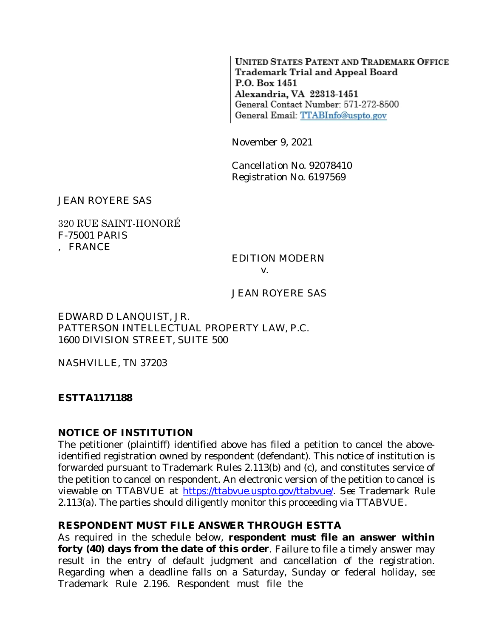UNITED STATES PATENT AND TRADEMARK OFFICE Trademark Trial and Appeal Board P.O. Box 1451 Alexandria, VA 22313-1451 General Contact Number: 571-272-8500 General Email: TTABInfo@uspto.gov

November 9, 2021

Cancellation No. 92078410 Registration No. 6197569

JEAN ROYERE SAS

#### 320 RUE SAINT-HONORÉ F-75001 PARIS , FRANCE

# *EDITION MODERN*

*v.*

#### *JEAN ROYERE SAS*

EDWARD D LANQUIST, JR. PATTERSON INTELLECTUAL PROPERTY LAW, P.C. 1600 DIVISION STREET, SUITE 500

NASHVILLE, TN 37203

**ESTTA1171188**

#### **NOTICE OF INSTITUTION**

The petitioner (plaintiff) identified above has filed a petition to cancel the aboveidentified registration owned by respondent (defendant). This notice of institution is forwarded pursuant to Trademark Rules 2.113(b) and (c), and constitutes service of the petition to cancel on respondent. An electronic version of the petition to cancel is viewable on TTABVUE at [https://ttabvue.uspto.gov/ttabvue/.](https://ttabvue.uspto.gov/ttabvue/) *See* Trademark Rule 2.113(a). The parties should diligently monitor this proceeding via TTABVUE.

#### **RESPONDENT MUST FILE ANSWER THROUGH ESTTA**

As required in the schedule below, **respondent must file an answer within forty (40) days from the date of this order**. Failure to file a timely answer may result in the entry of default judgment and cancellation of the registration. Regarding when a deadline falls on a Saturday, Sunday or federal holiday, *see* Trademark Rule 2.196. Respondent must file the answer through European for Trademark Trademark Trials and Appe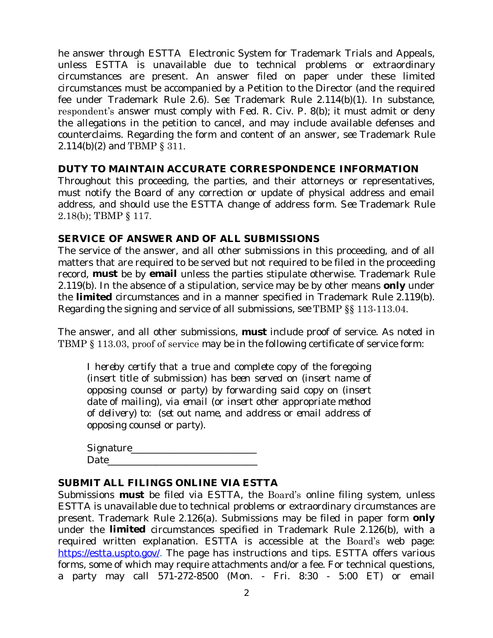he answer through ESTTA Electronic System for Trademark Trials and Appeals, unless ESTTA is unavailable due to technical problems or extraordinary circumstances are present. An answer filed on paper under these limited circumstances must be accompanied by a Petition to the Director (and the required fee under Trademark Rule 2.6). *See* Trademark Rule 2.114(b)(1). In substance, respondent's answer must comply with Fed. R. Civ. P. 8(b); it must admit or deny the allegations in the petition to cancel, and may include available defenses and counterclaims. Regarding the form and content of an answer, *see* Trademark Rule 2.114(b)(2) and TBMP § 311.

# **DUTY TO MAINTAIN ACCURATE CORRESPONDENCE INFORMATION**

Throughout this proceeding, the parties, and their attorneys or representatives, must notify the Board of any correction or update of physical address and email address, and should use the ESTTA change of address form. *See* Trademark Rule 2.18(b); TBMP § 117.

# **SERVICE OF ANSWER AND OF ALL SUBMISSIONS**

The service of the answer, and all other submissions in this proceeding, and of all matters that are required to be served but not required to be filed in the proceeding record, **must** be by **email** unless the parties stipulate otherwise. Trademark Rule 2.119(b). In the absence of a stipulation, service may be by other means **only** under the **limited** circumstances and in a manner specified in Trademark Rule 2.119(b). Regarding the signing and service of all submissions, *see* TBMP §§ 113-113.04.

The answer, and all other submissions, **must** include proof of service. As noted in TBMP § 113.03, proof of service may be in the following certificate of service form:

*I hereby certify that a true and complete copy of the foregoing (insert title of submission) has been served on (insert name of opposing counsel or party) by forwarding said copy on (insert date of mailing), via email (or insert other appropriate method of delivery) to: (set out name, and address or email address of opposing counsel or party).*

| Signature_ |  |  |
|------------|--|--|
| Date       |  |  |

# **SUBMIT ALL FILINGS ONLINE VIA ESTTA**

Submissions **must** be filed via ESTTA, the Board's online filing system, unless ESTTA is unavailable due to technical problems or extraordinary circumstances are present. Trademark Rule 2.126(a). Submissions may be filed in paper form **only** under the **limited** circumstances specified in Trademark Rule 2.126(b), with a required written explanation. ESTTA is accessible at the Board's web page: <https://estta.uspto.gov/>. The page has instructions and tips. ESTTA offers various forms, some of which may require attachments and/or a fee. For technical questions, a party may call 571-272-8500 (Mon. - Fri. 8:30 - 5:00 ET) or email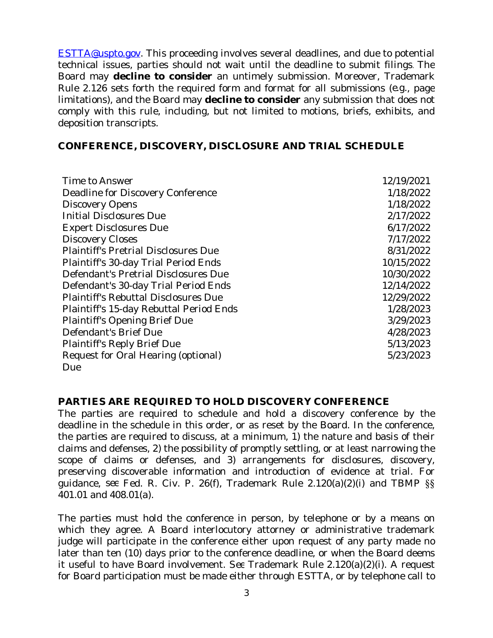ESTTA@uspto.gov. This proceeding involves several deadlines, and due to potential technical issues, parties should not wait until the deadline to submit filings. The Board may **decline to consider** an untimely submission. Moreover, Trademark Rule 2.126 sets forth the required form and format for all submissions (*e.g.*, page limitations), and the Board may **decline to consider** any submission that does not comply with this rule, including, but not limited to motions, briefs, exhibits, and deposition transcripts.

#### **CONFERENCE, DISCOVERY, DISCLOSURE AND TRIAL SCHEDULE**

| Time to Answer                              | 12/19/2021 |
|---------------------------------------------|------------|
| Deadline for Discovery Conference           | 1/18/2022  |
| <b>Discovery Opens</b>                      | 1/18/2022  |
| <b>Initial Disclosures Due</b>              | 2/17/2022  |
| <b>Expert Disclosures Due</b>               | 6/17/2022  |
| <b>Discovery Closes</b>                     | 7/17/2022  |
| <b>Plaintiff's Pretrial Disclosures Due</b> | 8/31/2022  |
| Plaintiff's 30-day Trial Period Ends        | 10/15/2022 |
| Defendant's Pretrial Disclosures Due        | 10/30/2022 |
| Defendant's 30-day Trial Period Ends        | 12/14/2022 |
| <b>Plaintiff's Rebuttal Disclosures Due</b> | 12/29/2022 |
| Plaintiff's 15-day Rebuttal Period Ends     | 1/28/2023  |
| <b>Plaintiff's Opening Brief Due</b>        | 3/29/2023  |
| Defendant's Brief Due                       | 4/28/2023  |
| <b>Plaintiff's Reply Brief Due</b>          | 5/13/2023  |
| Request for Oral Hearing (optional)         | 5/23/2023  |
| Due                                         |            |

#### **PARTIES ARE REQUIRED TO HOLD DISCOVERY CONFERENCE**

The parties are required to schedule and hold a discovery conference by the deadline in the schedule in this order, or as reset by the Board. In the conference, the parties are required to discuss, at a minimum, 1) the nature and basis of their claims and defenses, 2) the possibility of promptly settling, or at least narrowing the scope of claims or defenses, and 3) arrangements for disclosures, discovery, preserving discoverable information and introduction of evidence at trial. For guidance, *see* Fed. R. Civ. P. 26(f), Trademark Rule 2.120(a)(2)(i) and TBMP §§ 401.01 and 408.01(a).

The parties must hold the conference in person, by telephone or by a means on which they agree. A Board interlocutory attorney or administrative trademark judge will participate in the conference either upon request of any party made no later than ten (10) days prior to the conference deadline, or when the Board deems it useful to have Board involvement. *See* Trademark Rule 2.120(a)(2)(i). A request for Board participation must be made either through ESTTA, or by telephone call to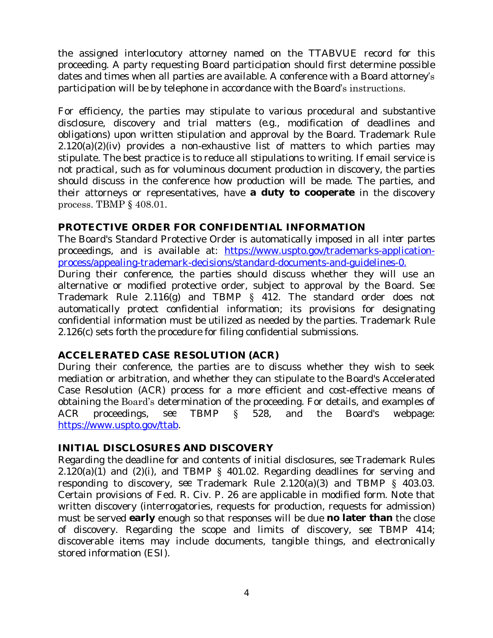the assigned interlocutory attorney named on the TTABVUE record for this proceeding. A party requesting Board participation should first determine possible dates and times when all parties are available. A conference with a Board attorney's participation will be by telephone in accordance with the Board's instructions.

For efficiency, the parties may stipulate to various procedural and substantive disclosure, discovery and trial matters (*e.g*., modification of deadlines and obligations) upon written stipulation and approval by the Board. Trademark Rule  $2.120(a)(2)(iv)$  provides a non-exhaustive list of matters to which parties may stipulate. The best practice is to reduce all stipulations to writing. If email service is not practical, such as for voluminous document production in discovery, the parties should discuss in the conference how production will be made. The parties, and their attorneys or representatives, have **a duty to cooperate** in the discovery process. TBMP § 408.01.

# **PROTECTIVE ORDER FOR CONFIDENTIAL INFORMATION**

The Board's Standard Protective Order is automatically imposed in all *inter partes* proceedings, and is available at: [https://www.uspto.gov/trademarks-application](https://www.uspto.gov/trademarks-application-process/appealing-trademark-decisions/standard-documents-and-guidelines-0)process/appealing-trademark-decisions/standard-documents-and-guidelines-0.

During their conference, the parties should discuss whether they will use an alternative or modified protective order, subject to approval by the Board. *See* Trademark Rule 2.116(g) and TBMP § 412. The standard order does not automatically protect confidential information; its provisions for designating confidential information must be utilized as needed by the parties. Trademark Rule 2.126(c) sets forth the procedure for filing confidential submissions.

# **ACCELERATED CASE RESOLUTION (ACR)**

During their conference, the parties are to discuss whether they wish to seek mediation or arbitration, and whether they can stipulate to the Board's Accelerated Case Resolution (ACR) process for a more efficient and cost-effective means of obtaining the Board's determination of the proceeding. For details, and examples of ACR proceedings, *see* TBMP § 528, and the Board's webpage: <https://www.uspto.gov/ttab>.

# **INITIAL DISCLOSURES AND DISCOVERY**

Regarding the deadline for and contents of initial disclosures, *see* Trademark Rules  $2.120(a)(1)$  and  $(2)(i)$ , and TBMP § 401.02. Regarding deadlines for serving and responding to discovery, *see* Trademark Rule 2.120(a)(3) and TBMP § 403.03. Certain provisions of Fed. R. Civ. P. 26 are applicable in modified form. Note that written discovery (interrogatories, requests for production, requests for admission) must be served **early** enough so that responses will be due **no later than** the close of discovery. Regarding the scope and limits of discovery, *see* TBMP 414; discoverable items may include documents, tangible things, and electronically stored information (ESI).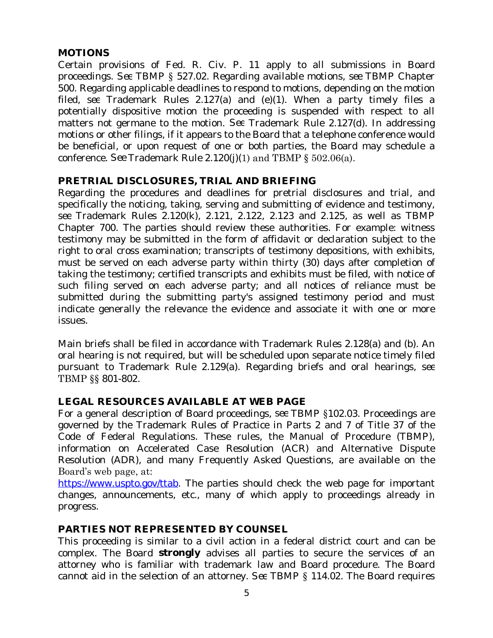# **MOTIONS**

Certain provisions of Fed. R. Civ. P. 11 apply to all submissions in Board proceedings. *See* TBMP § 527.02. Regarding available motions, *see* TBMP Chapter 500. Regarding applicable deadlines to respond to motions, depending on the motion filed, *see* Trademark Rules 2.127(a) and (e)(1). When a party timely files a potentially dispositive motion the proceeding is suspended with respect to all matters not germane to the motion. *See* Trademark Rule 2.127(d). In addressing motions or other filings, if it appears to the Board that a telephone conference would be beneficial, or upon request of one or both parties, the Board may schedule a conference. *See* Trademark Rule 2.120(j)(1) and TBMP § 502.06(a).

# **PRETRIAL DISCLOSURES, TRIAL AND BRIEFING**

Regarding the procedures and deadlines for pretrial disclosures and trial, and specifically the noticing, taking, serving and submitting of evidence and testimony, *see* Trademark Rules 2.120(k), 2.121, 2.122, 2.123 and 2.125, as well as TBMP Chapter 700. The parties should review these authorities. For example: witness testimony may be submitted in the form of affidavit or declaration subject to the right to oral cross examination; transcripts of testimony depositions, with exhibits, must be served on each adverse party within thirty (30) days after completion of taking the testimony; certified transcripts and exhibits must be filed, with notice of such filing served on each adverse party; and all notices of reliance must be submitted during the submitting party's assigned testimony period and must indicate generally the relevance the evidence and associate it with one or more issues.

Main briefs shall be filed in accordance with Trademark Rules 2.128(a) and (b). An oral hearing is not required, but will be scheduled upon separate notice timely filed pursuant to Trademark Rule 2.129(a). Regarding briefs and oral hearings, *see* TBMP §§ 801-802.

# **LEGAL RESOURCES AVAILABLE AT WEB PAGE**

For a general description of Board proceedings, *see* TBMP §102.03. Proceedings are governed by the Trademark Rules of Practice in Parts 2 and 7 of Title 37 of the Code of Federal Regulations. These rules, the Manual of Procedure (TBMP), information on Accelerated Case Resolution (ACR) and Alternative Dispute Resolution (ADR), and many Frequently Asked Questions, are available on the Board's web page, at:

[https://www.uspto.gov/ttab](http://www.uspto.gov/ttab). The parties should check the web page for important changes, announcements, etc., many of which apply to proceedings already in progress.

#### **PARTIES NOT REPRESENTED BY COUNSEL**

This proceeding is similar to a civil action in a federal district court and can be complex. The Board **strongly** advises all parties to secure the services of an attorney who is familiar with trademark law and Board procedure. The Board cannot aid in the selection of an attorney. *See* TBMP § 114.02. The Board requires